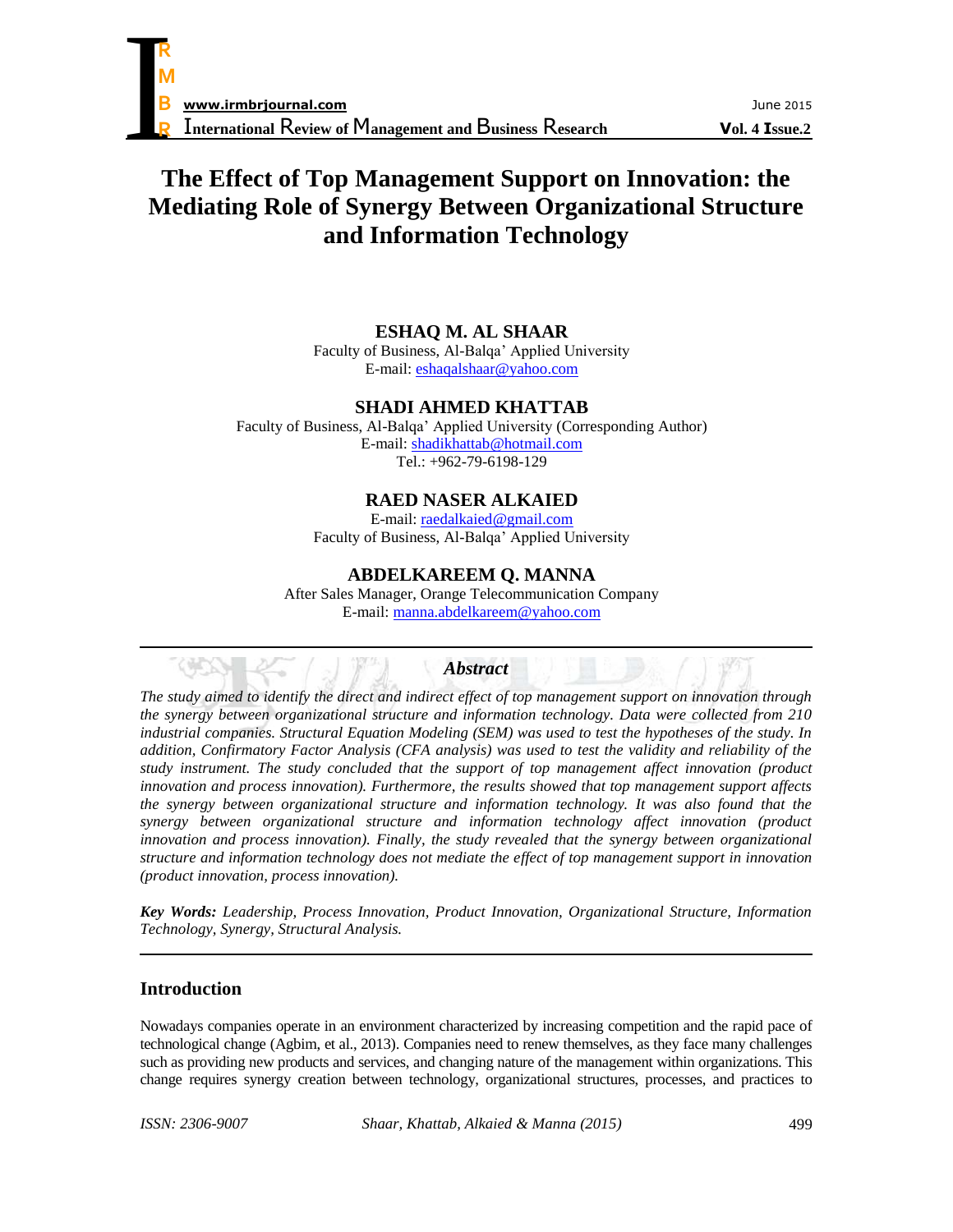# **The Effect of Top Management Support on Innovation: the Mediating Role of Synergy Between Organizational Structure and Information Technology**

# **ESHAQ M. AL SHAAR**

Faculty of Business, Al-Balqa' Applied University E-mail: [eshaqalshaar@yahoo.com](mailto:eshaqalshaar@yahoo.com)

## **SHADI AHMED KHATTAB**

Faculty of Business, Al-Balqa' Applied University (Corresponding Author) E-mail: [shadikhattab@hotmail.com](mailto:shadikhattab@hotmail.com) Tel.: +962-79-6198-129

# **RAED NASER ALKAIED**

E-mail[: raedalkaied@gmail.com](mailto:raedalkaied@gmail.com) Faculty of Business, Al-Balqa' Applied University

# **ABDELKAREEM Q. MANNA**

After Sales Manager, Orange Telecommunication Company E-mail[: manna.abdelkareem@yahoo.com](mailto:manna.abdelkareem@yahoo.com)

## *Abstract*

*The study aimed to identify the direct and indirect effect of top management support on innovation through the synergy between organizational structure and information technology. Data were collected from 210 industrial companies. Structural Equation Modeling (SEM) was used to test the hypotheses of the study. In addition, Confirmatory Factor Analysis (CFA analysis) was used to test the validity and reliability of the study instrument. The study concluded that the support of top management affect innovation (product innovation and process innovation). Furthermore, the results showed that top management support affects the synergy between organizational structure and information technology. It was also found that the synergy between organizational structure and information technology affect innovation (product innovation and process innovation). Finally, the study revealed that the synergy between organizational structure and information technology does not mediate the effect of top management support in innovation (product innovation, process innovation).*

*Key Words: Leadership, Process Innovation, Product Innovation, Organizational Structure, Information Technology, Synergy, Structural Analysis.*

## **Introduction**

Nowadays companies operate in an environment characterized by increasing competition and the rapid pace of technological change (Agbim, et al., 2013). Companies need to renew themselves, as they face many challenges such as providing new products and services, and changing nature of the management within organizations. This change requires synergy creation between technology, organizational structures, processes, and practices to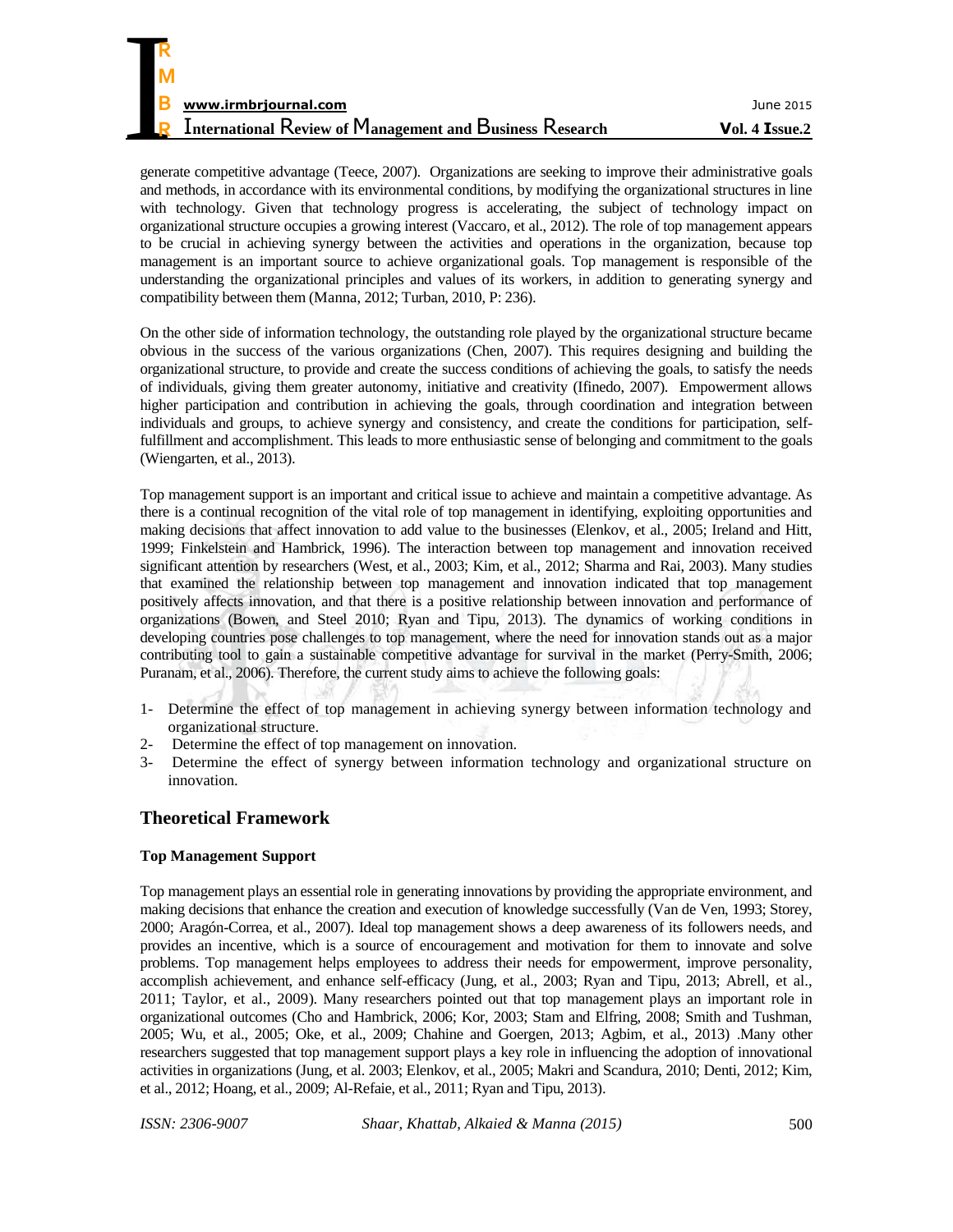| R                                                               |                |
|-----------------------------------------------------------------|----------------|
| M                                                               |                |
| B<br>www.irmbrjournal.com                                       | June 2015      |
| <b>International Review of Management and Business Research</b> | Vol. 4 Issue.2 |

generate competitive advantage (Teece, 2007). Organizations are seeking to improve their administrative goals and methods, in accordance with its environmental conditions, by modifying the organizational structures in line with technology. Given that technology progress is accelerating, the subject of technology impact on organizational structure occupies a growing interest (Vaccaro, et al., 2012). The role of top management appears to be crucial in achieving synergy between the activities and operations in the organization, because top management is an important source to achieve organizational goals. Top management is responsible of the understanding the organizational principles and values of its workers, in addition to generating synergy and compatibility between them (Manna, 2012; Turban, 2010, P: 236).

On the other side of information technology, the outstanding role played by the organizational structure became obvious in the success of the various organizations (Chen, 2007). This requires designing and building the organizational structure, to provide and create the success conditions of achieving the goals, to satisfy the needs of individuals, giving them greater autonomy, initiative and creativity (Ifinedo, 2007). Empowerment allows higher participation and contribution in achieving the goals, through coordination and integration between individuals and groups, to achieve synergy and consistency, and create the conditions for participation, selffulfillment and accomplishment. This leads to more enthusiastic sense of belonging and commitment to the goals (Wiengarten, et al., 2013).

Top management support is an important and critical issue to achieve and maintain a competitive advantage. As there is a continual recognition of the vital role of top management in identifying, exploiting opportunities and making decisions that affect innovation to add value to the businesses (Elenkov, et al., 2005; Ireland and Hitt, 1999; Finkelstein and Hambrick, 1996). The interaction between top management and innovation received significant attention by researchers (West, et al., 2003; Kim, et al., 2012; Sharma and Rai, 2003). Many studies that examined the relationship between top management and innovation indicated that top management positively affects innovation, and that there is a positive relationship between innovation and performance of organizations (Bowen, and Steel 2010; Ryan and Tipu, 2013). The dynamics of working conditions in developing countries pose challenges to top management, where the need for innovation stands out as a major contributing tool to gain a sustainable competitive advantage for survival in the market (Perry-Smith, 2006; Puranam, et al., 2006). Therefore, the current study aims to achieve the following goals:

- 1- Determine the effect of top management in achieving synergy between information technology and organizational structure.
- 2- Determine the effect of top management on innovation.
- 3- Determine the effect of synergy between information technology and organizational structure on innovation.

## **Theoretical Framework**

#### **Top Management Support**

Top management plays an essential role in generating innovations by providing the appropriate environment, and making decisions that enhance the creation and execution of knowledge successfully (Van de Ven, 1993; Storey, 2000; Aragón-Correa, et al., 2007). Ideal top management shows a deep awareness of its followers needs, and provides an incentive, which is a source of encouragement and motivation for them to innovate and solve problems. Top management helps employees to address their needs for empowerment, improve personality, accomplish achievement, and enhance self-efficacy (Jung, et al., 2003; Ryan and Tipu, 2013; Abrell, et al., 2011; Taylor, et al., 2009). Many researchers pointed out that top management plays an important role in organizational outcomes (Cho and Hambrick, 2006; Kor, 2003; Stam and Elfring, 2008; Smith and Tushman, 2005; Wu, et al., 2005; Oke, et al., 2009; Chahine and Goergen, 2013; Agbim, et al., 2013) .Many other researchers suggested that top management support plays a key role in influencing the adoption of innovational activities in organizations (Jung, et al. 2003; Elenkov, et al., 2005; Makri and Scandura, 2010; Denti, 2012; Kim, et al., 2012; Hoang, et al., 2009; Al-Refaie, et al., 2011; Ryan and Tipu, 2013).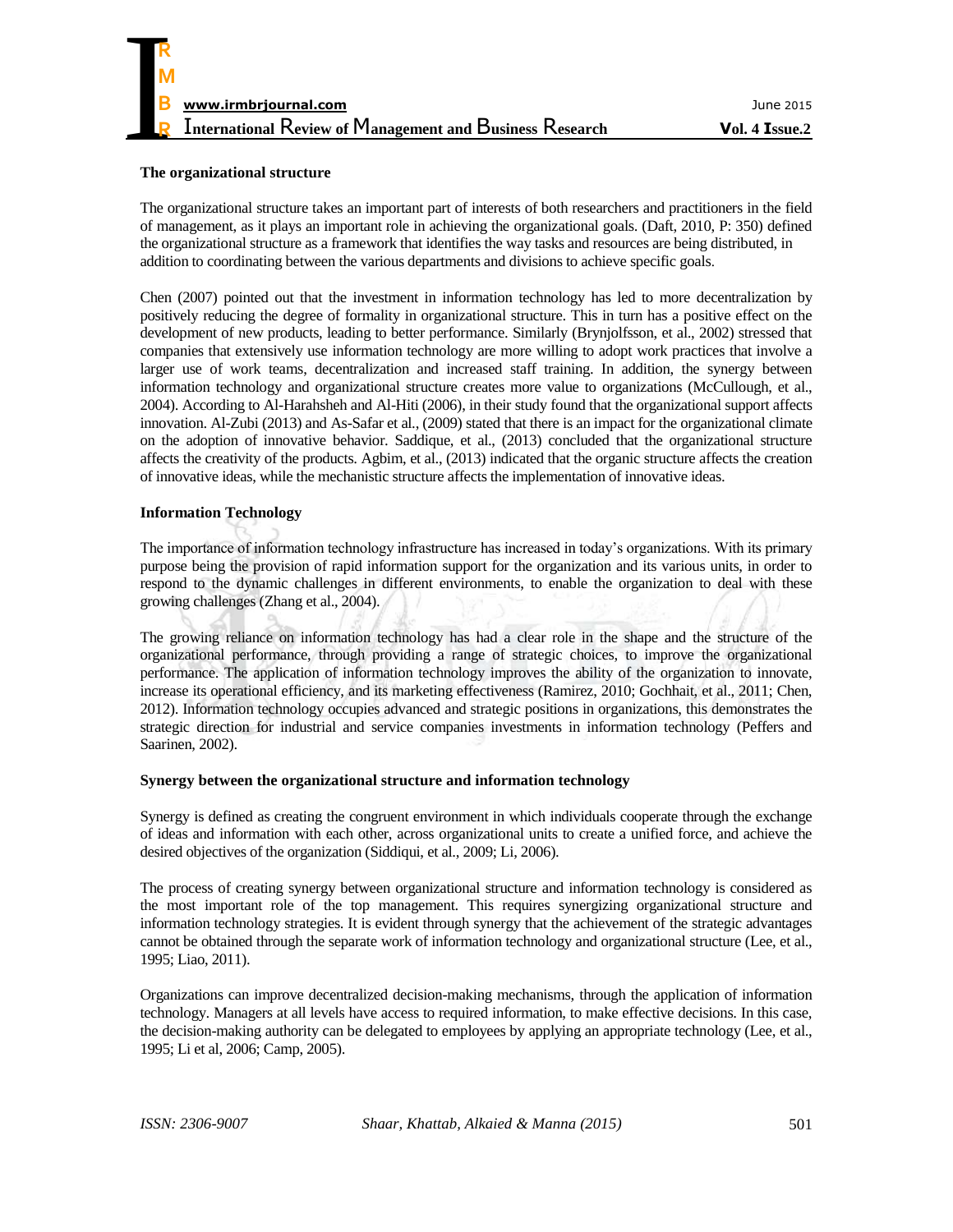

#### **The organizational structure**

The organizational structure takes an important part of interests of both researchers and practitioners in the field of management, as it plays an important role in achieving the organizational goals. (Daft, 2010, P: 350) defined the organizational structure as a framework that identifies the way tasks and resources are being distributed, in addition to coordinating between the various departments and divisions to achieve specific goals.

Chen (2007) pointed out that the investment in information technology has led to more decentralization by positively reducing the degree of formality in organizational structure. This in turn has a positive effect on the development of new products, leading to better performance. Similarly (Brynjolfsson, et al., 2002) stressed that companies that extensively use information technology are more willing to adopt work practices that involve a larger use of work teams, decentralization and increased staff training. In addition, the synergy between information technology and organizational structure creates more value to organizations (McCullough, et al., 2004). According to Al-Harahsheh and Al-Hiti (2006), in their study found that the organizational support affects innovation. Al-Zubi (2013) and As-Safar et al., (2009) stated that there is an impact for the organizational climate on the adoption of innovative behavior. Saddique, et al., (2013) concluded that the organizational structure affects the creativity of the products. Agbim, et al., (2013) indicated that the organic structure affects the creation of innovative ideas, while the mechanistic structure affects the implementation of innovative ideas.

#### **Information Technology**

The importance of information technology infrastructure has increased in today's organizations. With its primary purpose being the provision of rapid information support for the organization and its various units, in order to respond to the dynamic challenges in different environments, to enable the organization to deal with these growing challenges (Zhang et al., 2004).

The growing reliance on information technology has had a clear role in the shape and the structure of the organizational performance, through providing a range of strategic choices, to improve the organizational performance. The application of information technology improves the ability of the organization to innovate, increase its operational efficiency, and its marketing effectiveness (Ramirez, 2010; Gochhait, et al., 2011; Chen, 2012). Information technology occupies advanced and strategic positions in organizations, this demonstrates the strategic direction for industrial and service companies investments in information technology (Peffers and Saarinen, 2002).

#### **Synergy between the organizational structure and information technology**

Synergy is defined as creating the congruent environment in which individuals cooperate through the exchange of ideas and information with each other, across organizational units to create a unified force, and achieve the desired objectives of the organization (Siddiqui, et al., 2009; Li, 2006).

The process of creating synergy between organizational structure and information technology is considered as the most important role of the top management. This requires synergizing organizational structure and information technology strategies. It is evident through synergy that the achievement of the strategic advantages cannot be obtained through the separate work of information technology and organizational structure (Lee, et al., 1995; Liao, 2011).

Organizations can improve decentralized decision-making mechanisms, through the application of information technology. Managers at all levels have access to required information, to make effective decisions. In this case, the decision-making authority can be delegated to employees by applying an appropriate technology (Lee, et al., 1995; Li et al, 2006; Camp, 2005).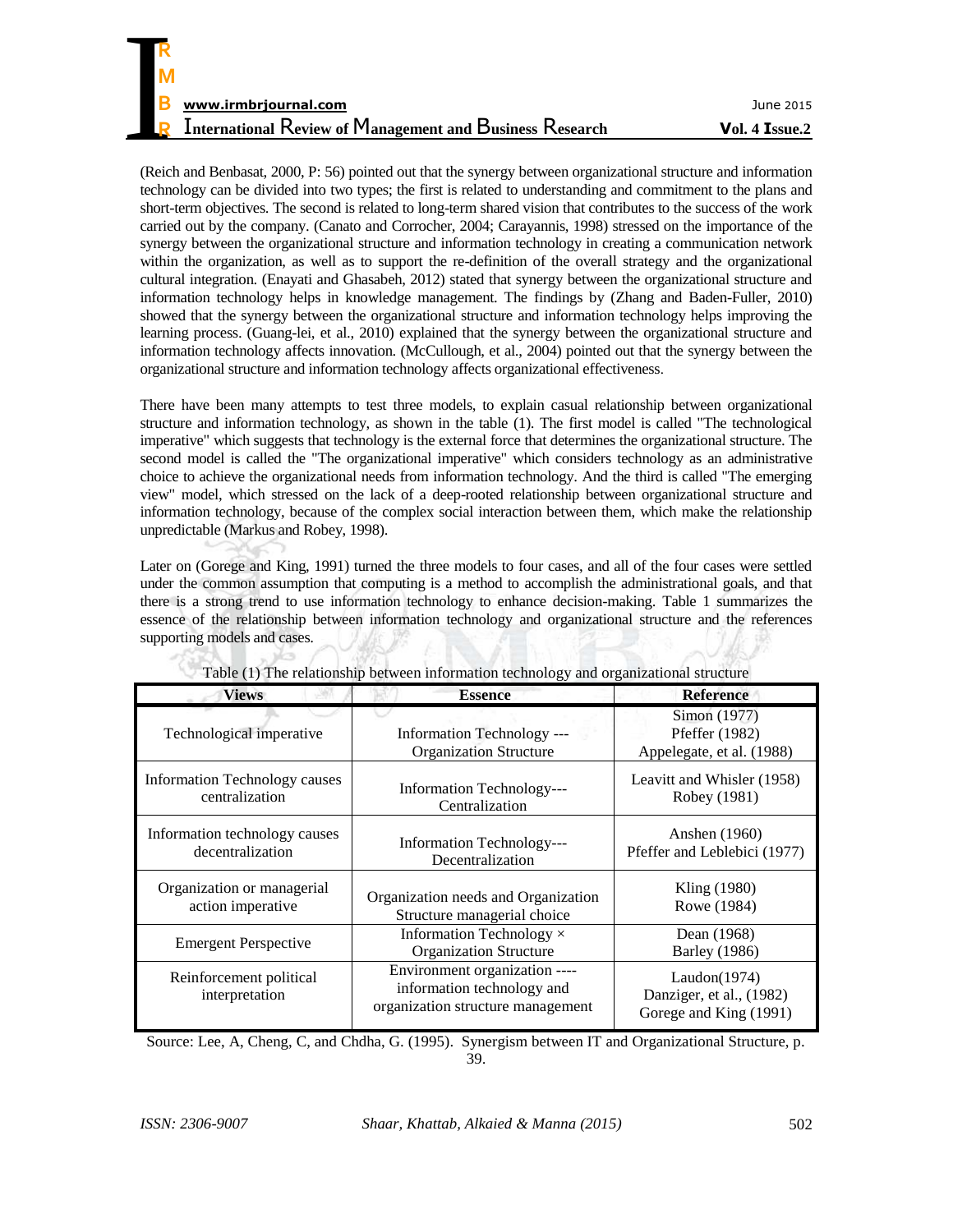| R                                                               |                |
|-----------------------------------------------------------------|----------------|
| M                                                               |                |
| B<br>www.irmbrjournal.com                                       | June 2015      |
| <b>International Review of Management and Business Research</b> | Vol. 4 Issue.2 |

(Reich and Benbasat, 2000, P: 56) pointed out that the synergy between organizational structure and information technology can be divided into two types; the first is related to understanding and commitment to the plans and short-term objectives. The second is related to long-term shared vision that contributes to the success of the work carried out by the company. (Canato and Corrocher, 2004; Carayannis, 1998) stressed on the importance of the synergy between the organizational structure and information technology in creating a communication network within the organization, as well as to support the re-definition of the overall strategy and the organizational cultural integration. (Enayati and Ghasabeh, 2012) stated that synergy between the organizational structure and information technology helps in knowledge management. The findings by (Zhang and Baden-Fuller, 2010) showed that the synergy between the organizational structure and information technology helps improving the learning process. (Guang-lei, et al., 2010) explained that the synergy between the organizational structure and information technology affects innovation. (McCullough, et al., 2004) pointed out that the synergy between the organizational structure and information technology affects organizational effectiveness.

There have been many attempts to test three models, to explain casual relationship between organizational structure and information technology, as shown in the table (1). The first model is called "The technological imperative" which suggests that technology is the external force that determines the organizational structure. The second model is called the "The organizational imperative" which considers technology as an administrative choice to achieve the organizational needs from information technology. And the third is called "The emerging view" model, which stressed on the lack of a deep-rooted relationship between organizational structure and information technology, because of the complex social interaction between them, which make the relationship unpredictable (Markus and Robey, 1998).

Later on (Gorege and King, 1991) turned the three models to four cases, and all of the four cases were settled under the common assumption that computing is a method to accomplish the administrational goals, and that there is a strong trend to use information technology to enhance decision-making. Table 1 summarizes the essence of the relationship between information technology and organizational structure and the references supporting models and cases.

| <b>Views</b>                                      | <b>Essence</b>                                                                                   | <b>Reference</b>                                                   |
|---------------------------------------------------|--------------------------------------------------------------------------------------------------|--------------------------------------------------------------------|
| Technological imperative                          | Information Technology ---<br><b>Organization Structure</b>                                      | Simon (1977)<br>Pfeffer (1982)<br>Appelegate, et al. (1988)        |
| Information Technology causes<br>centralization   | Information Technology---<br>Centralization                                                      | Leavitt and Whisler (1958)<br>Robey (1981)                         |
| Information technology causes<br>decentralization | Information Technology---<br>Decentralization                                                    | Anshen (1960)<br>Pfeffer and Leblebici (1977)                      |
| Organization or managerial<br>action imperative   | Organization needs and Organization<br>Structure managerial choice                               | Kling (1980)<br>Rowe (1984)                                        |
| <b>Emergent Perspective</b>                       | Information Technology $\times$<br><b>Organization Structure</b>                                 | Dean (1968)<br><b>Barley</b> (1986)                                |
| Reinforcement political<br>interpretation         | Environment organization ----<br>information technology and<br>organization structure management | Laudon(1974)<br>Danziger, et al., (1982)<br>Gorege and King (1991) |

|  |  |  | Table (1) The relationship between information technology and organizational structure |  |
|--|--|--|----------------------------------------------------------------------------------------|--|

Source: Lee, A, Cheng, C, and Chdha, G. (1995). Synergism between IT and Organizational Structure, p. 39.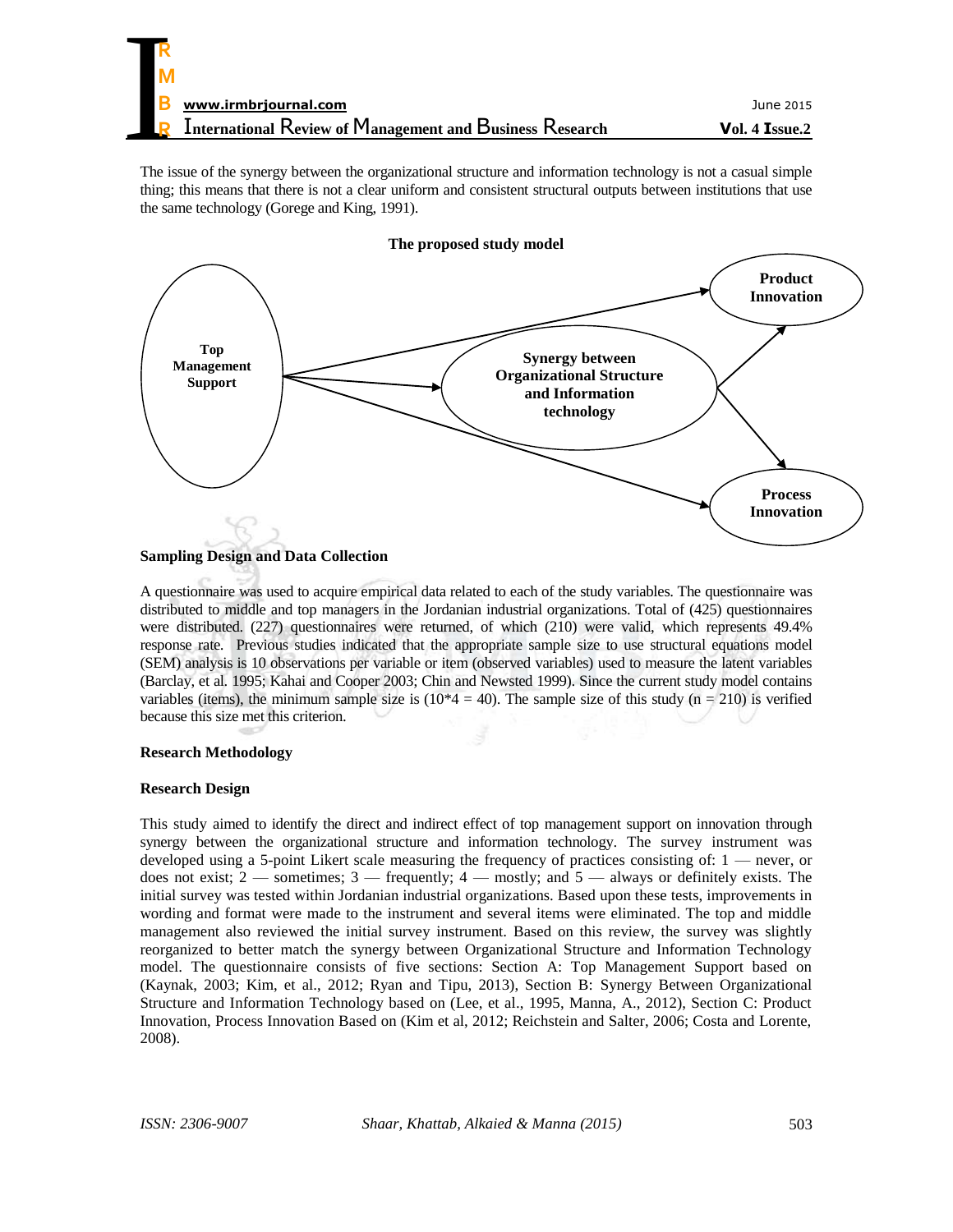The issue of the synergy between the organizational structure and information technology is not a casual simple thing; this means that there is not a clear uniform and consistent structural outputs between institutions that use the same technology (Gorege and King, 1991).



#### **The proposed study model**

A questionnaire was used to acquire empirical data related to each of the study variables. The questionnaire was distributed to middle and top managers in the Jordanian industrial organizations. Total of (425) questionnaires were distributed. (227) questionnaires were returned, of which (210) were valid, which represents 49.4% response rate. Previous studies indicated that the appropriate sample size to use structural equations model (SEM) analysis is 10 observations per variable or item (observed variables) used to measure the latent variables (Barclay, et al. 1995; Kahai and Cooper 2003; Chin and Newsted 1999). Since the current study model contains variables (items), the minimum sample size is  $(10*4 = 40)$ . The sample size of this study (n = 210) is verified because this size met this criterion.

#### **Research Methodology**

#### **Research Design**

This study aimed to identify the direct and indirect effect of top management support on innovation through synergy between the organizational structure and information technology. The survey instrument was developed using a 5-point Likert scale measuring the frequency of practices consisting of: 1 — never, or does not exist;  $2$  — sometimes;  $3$  — frequently;  $4$  — mostly; and  $5$  — always or definitely exists. The initial survey was tested within Jordanian industrial organizations. Based upon these tests, improvements in wording and format were made to the instrument and several items were eliminated. The top and middle management also reviewed the initial survey instrument. Based on this review, the survey was slightly reorganized to better match the synergy between Organizational Structure and Information Technology model. The questionnaire consists of five sections: Section A: Top Management Support based on (Kaynak, 2003; Kim, et al., 2012; Ryan and Tipu, 2013), Section B: Synergy Between Organizational Structure and Information Technology based on (Lee, et al., 1995, Manna, A., 2012), Section C: Product Innovation, Process Innovation Based on (Kim et al, 2012; Reichstein and Salter, 2006; Costa and Lorente, 2008).

**Sampling Design and Data Collection**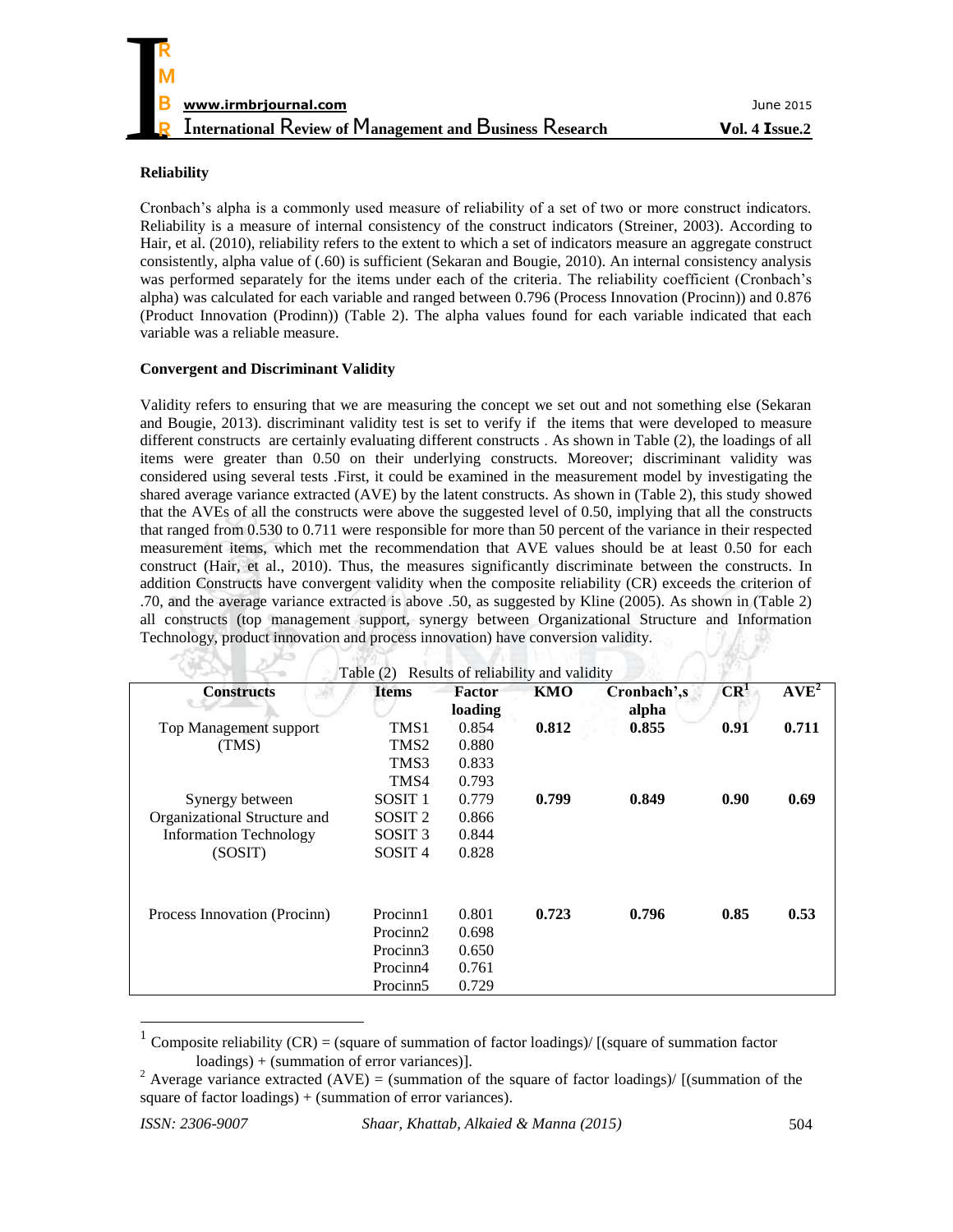#### **Reliability**

Cronbach's alpha is a commonly used measure of reliability of a set of two or more construct indicators. Reliability is a measure of internal consistency of the construct indicators (Streiner, 2003). According to Hair, et al. (2010), reliability refers to the extent to which a set of indicators measure an aggregate construct consistently, alpha value of (.60) is sufficient (Sekaran and Bougie, 2010). An internal consistency analysis was performed separately for the items under each of the criteria. The reliability coefficient (Cronbach's alpha) was calculated for each variable and ranged between 0.796 (Process Innovation (Procinn)) and 0.876 (Product Innovation (Prodinn)) (Table 2). The alpha values found for each variable indicated that each variable was a reliable measure.

#### **Convergent and Discriminant Validity**

 $\times$   $\sim$   $\sim$ 

 $\sqrt{d}$ 

Validity refers to ensuring that we are measuring the concept we set out and not something else (Sekaran and Bougie, 2013). discriminant validity test is set to verify if the items that were developed to measure different constructs are certainly evaluating different constructs . As shown in Table (2), the loadings of all items were greater than 0.50 on their underlying constructs. Moreover; discriminant validity was considered using several tests .First, it could be examined in the measurement model by investigating the shared average variance extracted (AVE) by the latent constructs. As shown in (Table 2), this study showed that the AVEs of all the constructs were above the suggested level of 0.50, implying that all the constructs that ranged from 0.530 to 0.711 were responsible for more than 50 percent of the variance in their respected measurement items, which met the recommendation that AVE values should be at least 0.50 for each construct (Hair, et al., 2010). Thus, the measures significantly discriminate between the constructs. In addition Constructs have convergent validity when the composite reliability (CR) exceeds the criterion of .70, and the average variance extracted is above .50, as suggested by Kline (2005). As shown in (Table 2) all constructs (top management support, synergy between Organizational Structure and Information Technology, product innovation and process innovation) have conversion validity.

IN A LEARNE

|                               | Table (2)            | Results of reliability and validity |       |                      |                 |           |
|-------------------------------|----------------------|-------------------------------------|-------|----------------------|-----------------|-----------|
| <b>Constructs</b>             | <b>Items</b>         | <b>Factor</b><br>loading            | KMO   | Cronbach',s<br>alpha | CR <sup>1</sup> | $AVE^{2}$ |
| Top Management support        | TMS1                 | 0.854                               | 0.812 | 0.855                | 0.91            | 0.711     |
| (TMS)                         | TMS2                 | 0.880                               |       |                      |                 |           |
|                               | TMS3                 | 0.833                               |       |                      |                 |           |
|                               | TMS4                 | 0.793                               |       |                      |                 |           |
| Synergy between               | SOSIT <sub>1</sub>   | 0.779                               | 0.799 | 0.849                | 0.90            | 0.69      |
| Organizational Structure and  | SOSIT <sub>2</sub>   | 0.866                               |       |                      |                 |           |
| <b>Information Technology</b> | SOSIT <sub>3</sub>   | 0.844                               |       |                      |                 |           |
| (SOSIT)                       | SOSIT <sub>4</sub>   | 0.828                               |       |                      |                 |           |
| Process Innovation (Procinn)  | Procinn1             | 0.801                               | 0.723 | 0.796                | 0.85            | 0.53      |
|                               | Procinn2             | 0.698                               |       |                      |                 |           |
|                               | Procinn3             | 0.650                               |       |                      |                 |           |
|                               | Procinn4             | 0.761                               |       |                      |                 |           |
|                               | Procinn <sub>5</sub> | 0.729                               |       |                      |                 |           |
|                               |                      |                                     |       |                      |                 |           |

1 Composite reliability  $(CR) = (square of summation of factor loadings) / [(square of summation factor$ loadings) + (summation of error variances)].

 $\overline{a}$ 

<sup>&</sup>lt;sup>2</sup> Average variance extracted (AVE) = (summation of the square of factor loadings)/ [(summation of the square of factor loadings) + (summation of error variances).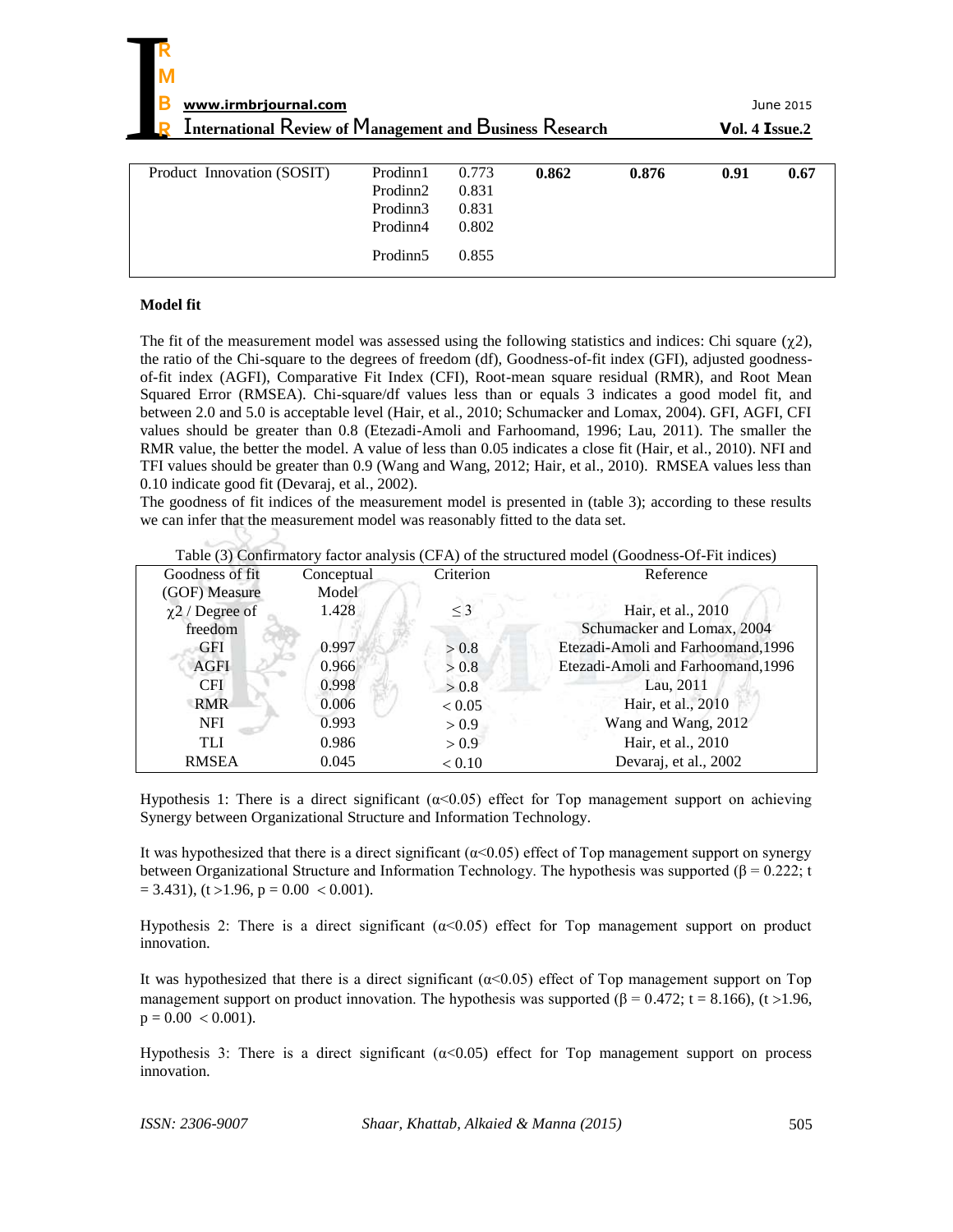| $Vol. 4$ Issue.2 |  |
|------------------|--|
|------------------|--|

| Product Innovation (SOSIT) | Prodinn1<br>Prodinn2<br>Prodinn3<br>Prodinn4 | 0.773<br>0.831<br>0.831<br>0.802 | 0.862 | 0.876 | 0.91 | 0.67 |
|----------------------------|----------------------------------------------|----------------------------------|-------|-------|------|------|
|                            | Prodinn <sub>5</sub>                         | 0.855                            |       |       |      |      |

#### **Model fit**

The fit of the measurement model was assessed using the following statistics and indices: Chi square  $(\chi_2)$ , the ratio of the Chi-square to the degrees of freedom (df), Goodness-of-fit index (GFI), adjusted goodnessof-fit index (AGFI), Comparative Fit Index (CFI), Root-mean square residual (RMR), and Root Mean Squared Error (RMSEA). Chi-square/df values less than or equals 3 indicates a good model fit, and between 2.0 and 5.0 is acceptable level (Hair, et al., 2010; Schumacker and Lomax, 2004). GFI, AGFI, CFI values should be greater than 0.8 (Etezadi-Amoli and Farhoomand, 1996; Lau, 2011). The smaller the RMR value, the better the model. A value of less than 0.05 indicates a close fit (Hair, et al., 2010). NFI and TFI values should be greater than 0.9 (Wang and Wang, 2012; Hair, et al., 2010). RMSEA values less than 0.10 indicate good fit (Devaraj, et al., 2002).

The goodness of fit indices of the measurement model is presented in (table 3); according to these results we can infer that the measurement model was reasonably fitted to the data set.

|  |  | Table (3) Confirmatory factor analysis (CFA) of the structured model (Goodness-Of-Fit indices) |  |  |
|--|--|------------------------------------------------------------------------------------------------|--|--|
|--|--|------------------------------------------------------------------------------------------------|--|--|

| Goodness of fit      | Conceptual | Criterion | Reference                          |
|----------------------|------------|-----------|------------------------------------|
| (GOF) Measure        | Model      |           |                                    |
| $\chi$ 2 / Degree of | 1.428      | $\leq$ 3  | Hair, et al., 2010                 |
| freedom              |            |           | Schumacker and Lomax, 2004         |
| GFI                  | 0.997      | > 0.8     | Etezadi-Amoli and Farhoomand, 1996 |
| <b>AGFI</b>          | 0.966      | > 0.8     | Etezadi-Amoli and Farhoomand, 1996 |
| <b>CFI</b>           | 0.998      | > 0.8     | Lau, 2011                          |
| <b>RMR</b>           | 0.006      | < 0.05    | Hair, et al., 2010                 |
| <b>NFI</b>           | 0.993      | > 0.9     | Wang and Wang, 2012                |
| <b>TLI</b>           | 0.986      | > 0.9     | Hair, et al., 2010                 |
| <b>RMSEA</b>         | 0.045      | < 0.10    | Devaraj, et al., 2002              |

Hypothesis 1: There is a direct significant  $(\alpha < 0.05)$  effect for Top management support on achieving Synergy between Organizational Structure and Information Technology.

It was hypothesized that there is a direct significant ( $\alpha$ <0.05) effect of Top management support on synergy between Organizational Structure and Information Technology. The hypothesis was supported ( $\beta$  = 0.222; t  $= 3.431$ , (t > 1.96, p = 0.00 < 0.001).

Hypothesis 2: There is a direct significant ( $α<0.05$ ) effect for Top management support on product innovation.

It was hypothesized that there is a direct significant ( $\alpha$ <0.05) effect of Top management support on Top management support on product innovation. The hypothesis was supported ( $\beta = 0.472$ ; t = 8.166), (t > 1.96,  $p = 0.00 < 0.001$ ).

Hypothesis 3: There is a direct significant  $(\alpha < 0.05)$  effect for Top management support on process innovation.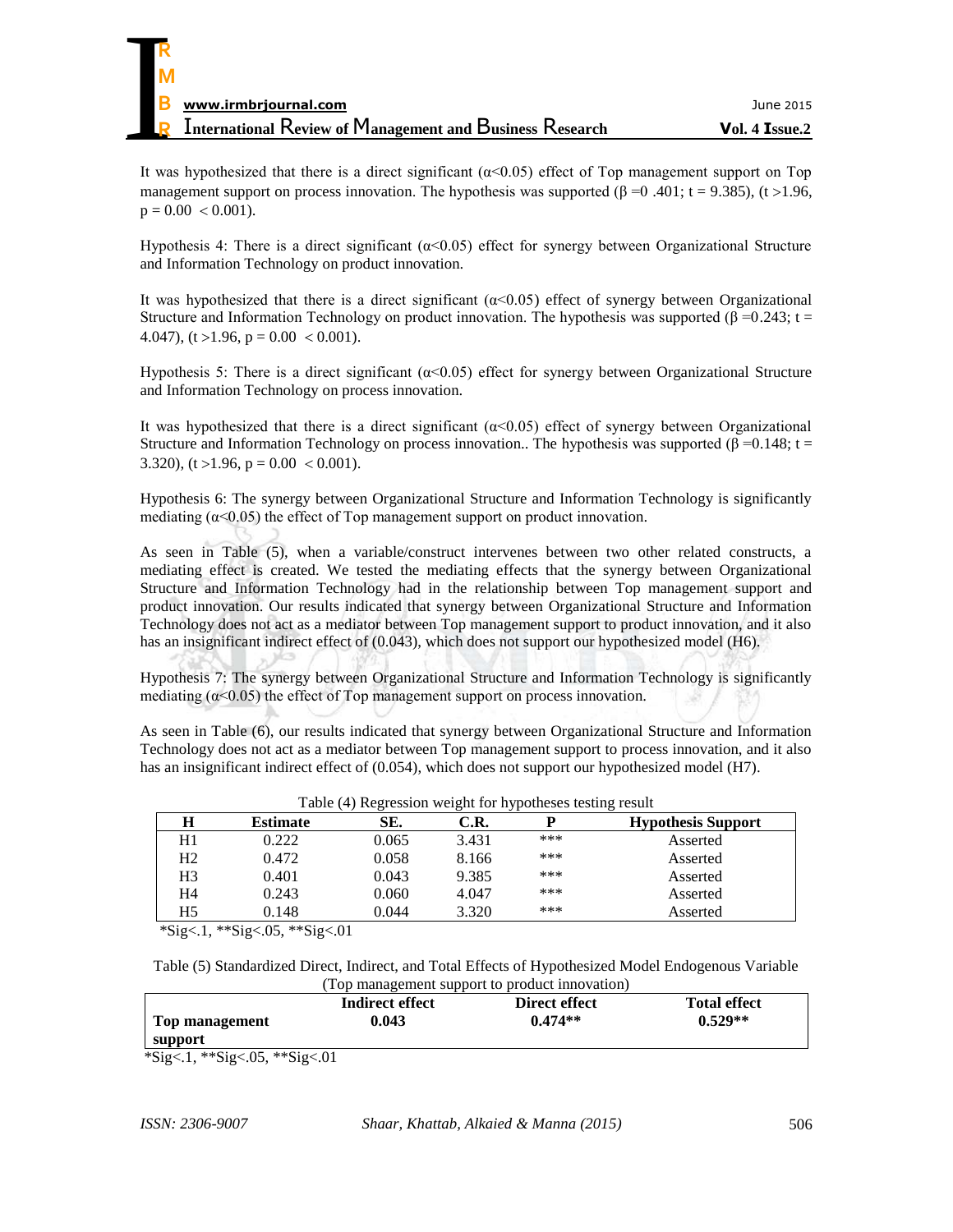It was hypothesized that there is a direct significant ( $\alpha$ <0.05) effect of Top management support on Top management support on process innovation. The hypothesis was supported ( $\beta$  =0 .401; t = 9.385), (t > 1.96,  $p = 0.00 < 0.001$ .

Hypothesis 4: There is a direct significant  $(α<0.05)$  effect for synergy between Organizational Structure and Information Technology on product innovation.

It was hypothesized that there is a direct significant  $(\alpha < 0.05)$  effect of synergy between Organizational Structure and Information Technology on product innovation. The hypothesis was supported ( $\beta = 0.243$ ; t = 4.047), (t > 1.96, p =  $0.00 < 0.001$ ).

Hypothesis 5: There is a direct significant  $(α<0.05)$  effect for synergy between Organizational Structure and Information Technology on process innovation.

It was hypothesized that there is a direct significant  $(\alpha < 0.05)$  effect of synergy between Organizational Structure and Information Technology on process innovation.. The hypothesis was supported (β =0.148; t = 3.320),  $(t > 1.96, p = 0.00 < 0.001)$ .

Hypothesis 6: The synergy between Organizational Structure and Information Technology is significantly mediating ( $\alpha$ <0.05) the effect of Top management support on product innovation.

As seen in Table (5), when a variable/construct intervenes between two other related constructs, a mediating effect is created. We tested the mediating effects that the synergy between Organizational Structure and Information Technology had in the relationship between Top management support and product innovation. Our results indicated that synergy between Organizational Structure and Information Technology does not act as a mediator between Top management support to product innovation, and it also has an insignificant indirect effect of (0.043), which does not support our hypothesized model (H6).

Hypothesis 7: The synergy between Organizational Structure and Information Technology is significantly mediating ( $\alpha$ <0.05) the effect of Top management support on process innovation.

As seen in Table (6), our results indicated that synergy between Organizational Structure and Information Technology does not act as a mediator between Top management support to process innovation, and it also has an insignificant indirect effect of (0.054), which does not support our hypothesized model (H7).

| Table (4) Regression weight for hypotheses testing result |                 |       |       |     |                           |  |
|-----------------------------------------------------------|-----------------|-------|-------|-----|---------------------------|--|
| н                                                         | <b>Estimate</b> | SE.   | C.R.  |     | <b>Hypothesis Support</b> |  |
| H1                                                        | 0.222           | 0.065 | 3.431 | *** | Asserted                  |  |
| H <sub>2</sub>                                            | 0.472           | 0.058 | 8.166 | *** | Asserted                  |  |
| H3                                                        | 0.401           | 0.043 | 9.385 | *** | Asserted                  |  |
| H4                                                        | 0.243           | 0.060 | 4.047 | *** | Asserted                  |  |
| H5                                                        | 0.148           | 0.044 | 3.320 | *** | Asserted                  |  |

\*Sig<.1, \*\*Sig<.05, \*\*Sig<.01

Table (5) Standardized Direct, Indirect, and Total Effects of Hypothesized Model Endogenous Variable (Top management support to product innovation)

|                     |                 | 100 manuscritent support to product millo (attori) |                     |
|---------------------|-----------------|----------------------------------------------------|---------------------|
|                     | Indirect effect | Direct effect                                      | <b>Total effect</b> |
| Top management      | 0.043           | $0.474**$                                          | $0.529**$           |
| support             |                 |                                                    |                     |
| ግር 1 ግብር ገባይ ግብር ገባ |                 |                                                    |                     |

\*Sig<.1, \*\*Sig<.05, \*\*Sig<.01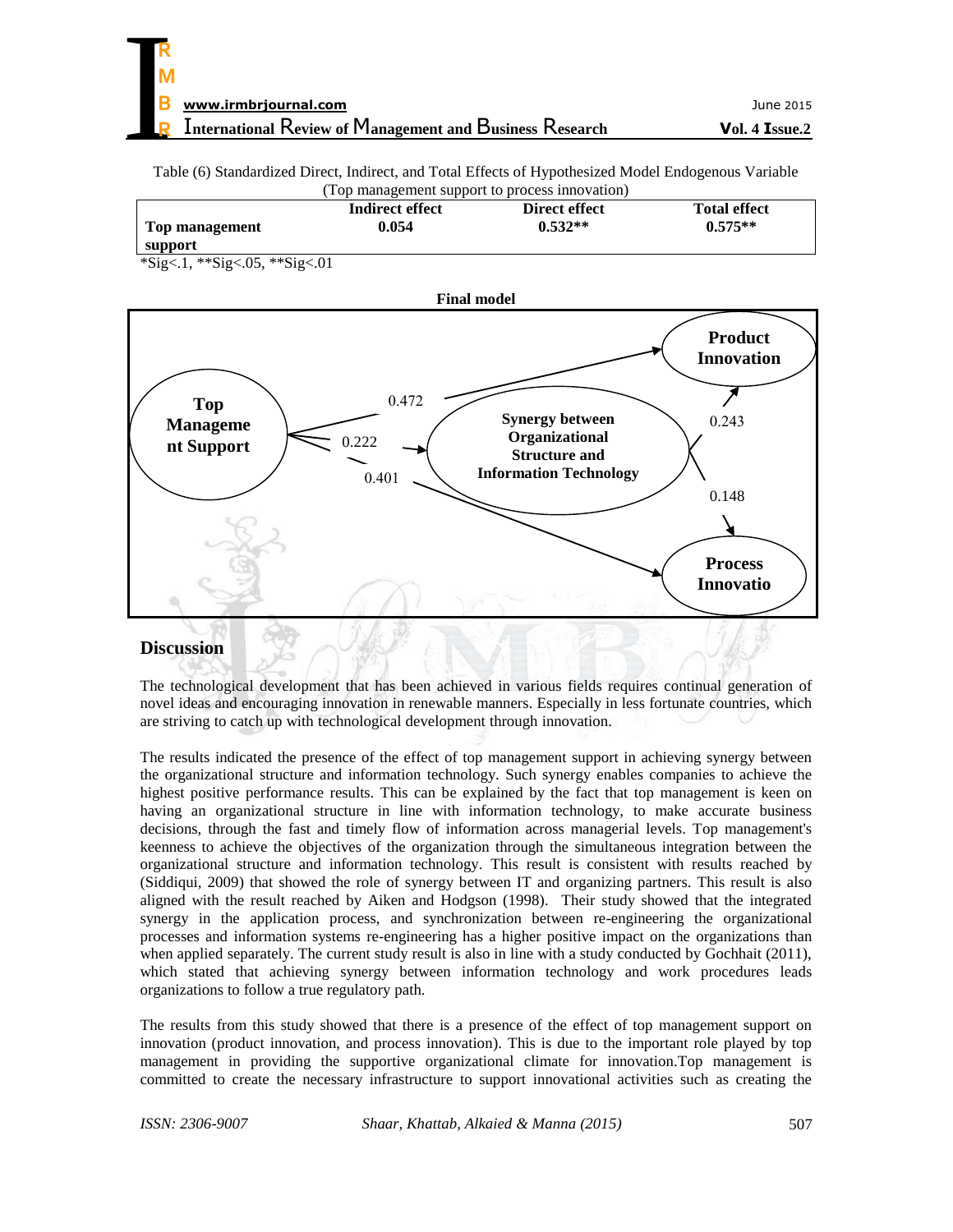Table (6) Standardized Direct, Indirect, and Total Effects of Hypothesized Model Endogenous Variable (Top management support to process innovation)

|                | Indirect effect | Direct effect | <b>Total effect</b> |
|----------------|-----------------|---------------|---------------------|
| Top management | 0.054           | $0.532**$     | $0.575**$           |
| support        |                 |               |                     |

\*Sig<.1, \*\*Sig<.05, \*\*Sig<.01



# **Discussion**

The technological development that has been achieved in various fields requires continual generation of novel ideas and encouraging innovation in renewable manners. Especially in less fortunate countries, which are striving to catch up with technological development through innovation.

The results indicated the presence of the effect of top management support in achieving synergy between the organizational structure and information technology. Such synergy enables companies to achieve the highest positive performance results. This can be explained by the fact that top management is keen on having an organizational structure in line with information technology, to make accurate business decisions, through the fast and timely flow of information across managerial levels. Top management's keenness to achieve the objectives of the organization through the simultaneous integration between the organizational structure and information technology. This result is consistent with results reached by (Siddiqui, 2009) that showed the role of synergy between IT and organizing partners. This result is also aligned with the result reached by Aiken and Hodgson (1998). Their study showed that the integrated synergy in the application process, and synchronization between re-engineering the organizational processes and information systems re-engineering has a higher positive impact on the organizations than when applied separately. The current study result is also in line with a study conducted by Gochhait (2011), which stated that achieving synergy between information technology and work procedures leads organizations to follow a true regulatory path.

The results from this study showed that there is a presence of the effect of top management support on innovation (product innovation, and process innovation). This is due to the important role played by top management in providing the supportive organizational climate for innovation.Top management is committed to create the necessary infrastructure to support innovational activities such as creating the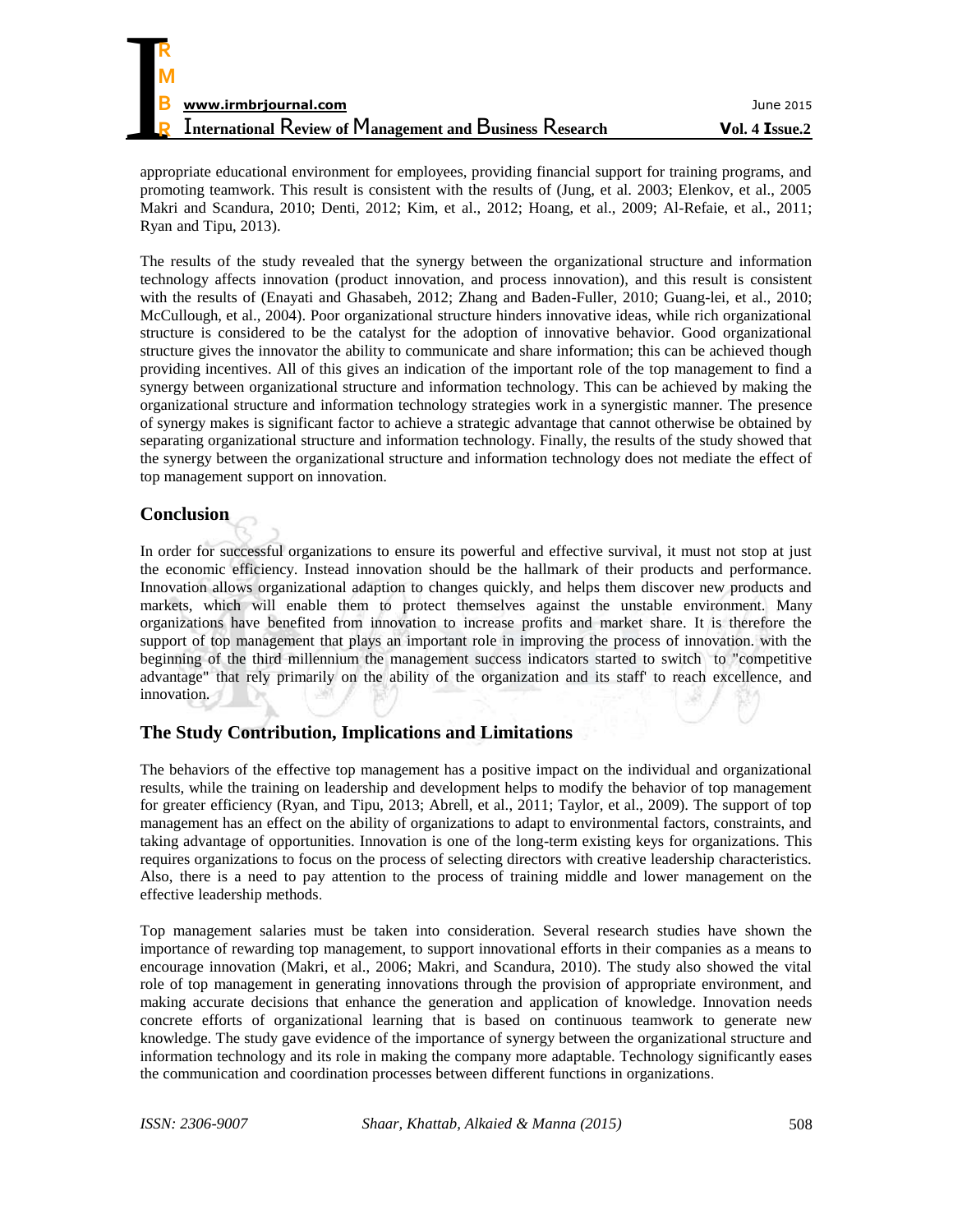

appropriate educational environment for employees, providing financial support for training programs, and promoting teamwork. This result is consistent with the results of (Jung, et al. 2003; Elenkov, et al., 2005 Makri and Scandura, 2010; Denti, 2012; Kim, et al., 2012; Hoang, et al., 2009; Al-Refaie, et al., 2011; Ryan and Tipu, 2013).

The results of the study revealed that the synergy between the organizational structure and information technology affects innovation (product innovation, and process innovation), and this result is consistent with the results of (Enayati and Ghasabeh, 2012; Zhang and Baden-Fuller, 2010; Guang-lei, et al., 2010; McCullough, et al., 2004). Poor organizational structure hinders innovative ideas, while rich organizational structure is considered to be the catalyst for the adoption of innovative behavior. Good organizational structure gives the innovator the ability to communicate and share information; this can be achieved though providing incentives. All of this gives an indication of the important role of the top management to find a synergy between organizational structure and information technology. This can be achieved by making the organizational structure and information technology strategies work in a synergistic manner. The presence of synergy makes is significant factor to achieve a strategic advantage that cannot otherwise be obtained by separating organizational structure and information technology. Finally, the results of the study showed that the synergy between the organizational structure and information technology does not mediate the effect of top management support on innovation.

# **Conclusion**

In order for successful organizations to ensure its powerful and effective survival, it must not stop at just the economic efficiency. Instead innovation should be the hallmark of their products and performance. Innovation allows organizational adaption to changes quickly, and helps them discover new products and markets, which will enable them to protect themselves against the unstable environment. Many organizations have benefited from innovation to increase profits and market share. It is therefore the support of top management that plays an important role in improving the process of innovation. with the beginning of the third millennium the management success indicators started to switch to "competitive advantage" that rely primarily on the ability of the organization and its staff' to reach excellence, and innovation.

# **The Study Contribution, Implications and Limitations**

The behaviors of the effective top management has a positive impact on the individual and organizational results, while the training on leadership and development helps to modify the behavior of top management for greater efficiency (Ryan, and Tipu, 2013; Abrell, et al., 2011; Taylor, et al., 2009). The support of top management has an effect on the ability of organizations to adapt to environmental factors, constraints, and taking advantage of opportunities. Innovation is one of the long-term existing keys for organizations. This requires organizations to focus on the process of selecting directors with creative leadership characteristics. Also, there is a need to pay attention to the process of training middle and lower management on the effective leadership methods.

Top management salaries must be taken into consideration. Several research studies have shown the importance of rewarding top management, to support innovational efforts in their companies as a means to encourage innovation (Makri, et al., 2006; Makri, and Scandura, 2010). The study also showed the vital role of top management in generating innovations through the provision of appropriate environment, and making accurate decisions that enhance the generation and application of knowledge. Innovation needs concrete efforts of organizational learning that is based on continuous teamwork to generate new knowledge. The study gave evidence of the importance of synergy between the organizational structure and information technology and its role in making the company more adaptable. Technology significantly eases the communication and coordination processes between different functions in organizations.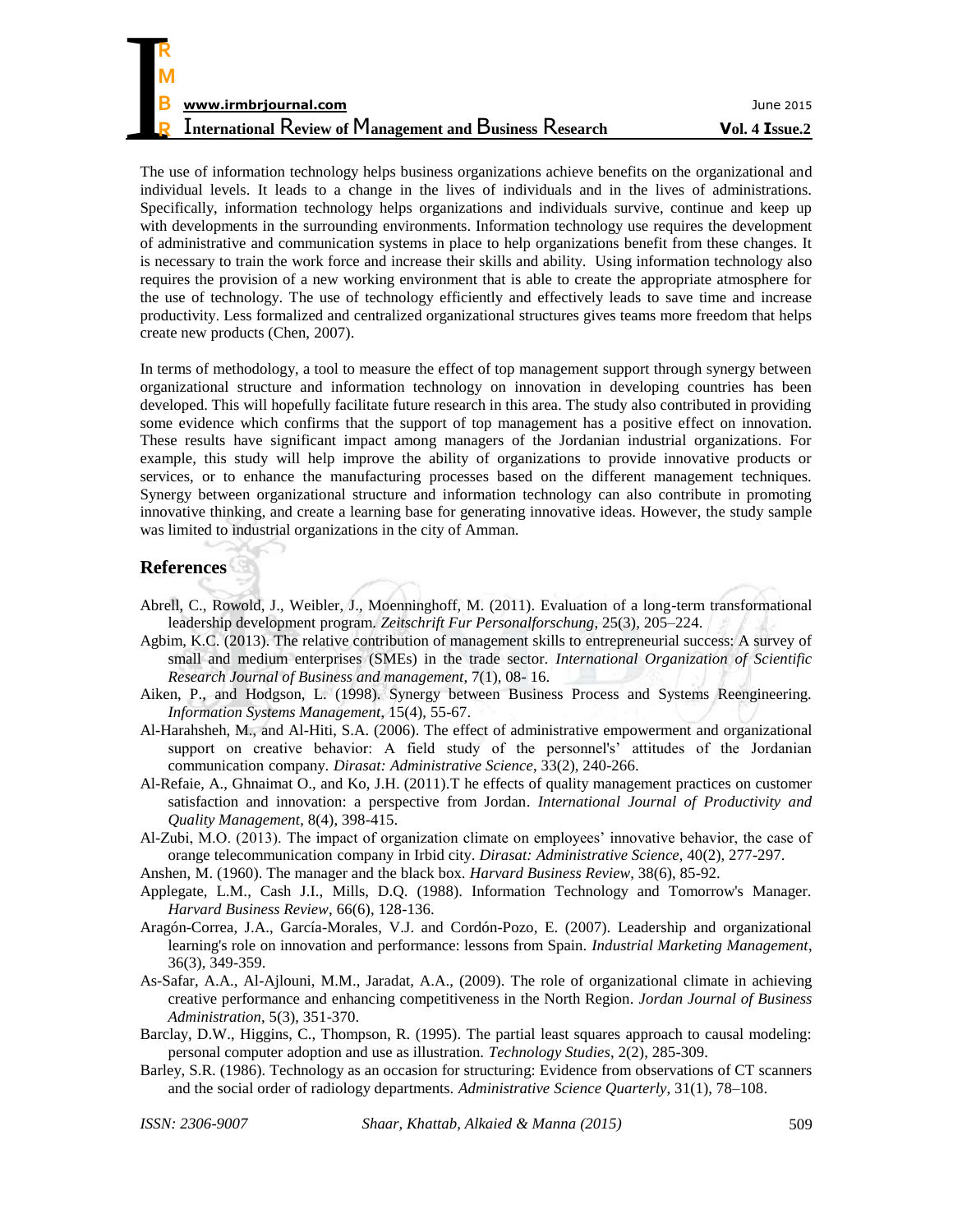| R                                                               |                |
|-----------------------------------------------------------------|----------------|
| M                                                               |                |
|                                                                 |                |
| B<br>www.irmbrjournal.com                                       | June 2015      |
| <b>International Review of Management and Business Research</b> | Vol. 4 Issue.2 |

The use of information technology helps business organizations achieve benefits on the organizational and individual levels. It leads to a change in the lives of individuals and in the lives of administrations. Specifically, information technology helps organizations and individuals survive, continue and keep up with developments in the surrounding environments. Information technology use requires the development of administrative and communication systems in place to help organizations benefit from these changes. It is necessary to train the work force and increase their skills and ability. Using information technology also requires the provision of a new working environment that is able to create the appropriate atmosphere for the use of technology. The use of technology efficiently and effectively leads to save time and increase productivity. Less formalized and centralized organizational structures gives teams more freedom that helps create new products (Chen, 2007).

In terms of methodology, a tool to measure the effect of top management support through synergy between organizational structure and information technology on innovation in developing countries has been developed. This will hopefully facilitate future research in this area. The study also contributed in providing some evidence which confirms that the support of top management has a positive effect on innovation. These results have significant impact among managers of the Jordanian industrial organizations. For example, this study will help improve the ability of organizations to provide innovative products or services, or to enhance the manufacturing processes based on the different management techniques. Synergy between organizational structure and information technology can also contribute in promoting innovative thinking, and create a learning base for generating innovative ideas. However, the study sample was limited to industrial organizations in the city of Amman.

# **References**

- Abrell, C., Rowold, J., Weibler, J., Moenninghoff, M. (2011). Evaluation of a long-term transformational leadership development program. *Zeitschrift Fur Personalforschung*, 25(3), 205–224.
- Agbim, K.C. (2013). The relative contribution of management skills to entrepreneurial success: A survey of small and medium enterprises (SMEs) in the trade sector. *International Organization of Scientific Research Journal of Business and management*, 7(1), 08- 16.
- Aiken, P., and Hodgson, L. (1998). Synergy between Business Process and Systems Reengineering. *Information Systems Management*, 15(4), 55-67.
- Al-Harahsheh, M., and Al-Hiti, S.A. (2006). The effect of administrative empowerment and organizational support on creative behavior: A field study of the personnel's' attitudes of the Jordanian communication company. *Dirasat: Administrative Science*, 33(2), 240-266.
- Al-Refaie, A., Ghnaimat O., and Ko, J.H. (2011)[.T he effects of quality management practices on customer](http://inderscience.metapress.com/content/y005m17321l2078q/)  [satisfaction and innovation: a perspective from Jordan.](http://inderscience.metapress.com/content/y005m17321l2078q/) *[International Journal of Productivity and](http://inderscience.metapress.com/content/119865/?p=97b3a8d498a94b8d9194323c4485cc2a&pi=0)  [Quality Management](http://inderscience.metapress.com/content/119865/?p=97b3a8d498a94b8d9194323c4485cc2a&pi=0)*, 8(4), 398-415.
- Al-Zubi, M.O. (2013). The impact of organization climate on employees' innovative behavior, the case of orange telecommunication company in Irbid city. *Dirasat: Administrative Science*, 40(2), 277-297.
- Anshen, M. (1960). The manager and the black box. *Harvard Business Review*, 38(6), 85-92.
- Applegate, L.M., Cash J.I., Mills, D.Q. (1988). Information Technology and Tomorrow's Manager. *Harvard Business Review*, 66(6), 128-136.
- Aragón-Correa, J.A., García-Morales, V.J. and Cordón-Pozo, E. (2007). Leadership and organizational learning's role on innovation and performance: lessons from Spain. *Industrial Marketing Management*, 36(3), 349-359.
- As-Safar, A.A., Al-Ajlouni, M.M., Jaradat, A.A., (2009). [The role of organizational climate in achieving](https://journals.ju.edu.jo/JJBA/article/view/372)  [creative performance and enhancing competitiveness in the North Region.](https://journals.ju.edu.jo/JJBA/article/view/372) *Jordan Journal of Business Administration*, 5(3), 351-370.
- Barclay, D.W., Higgins, C., Thompson, R. (1995). The partial least squares approach to causal modeling: personal computer adoption and use as illustration. *Technology Studies*, 2(2), 285-309.
- Barley, S.R. (1986). Technology as an occasion for structuring: Evidence from observations of CT scanners and the social order of radiology departments. *Administrative Science Quarterly*, 31(1), 78–108.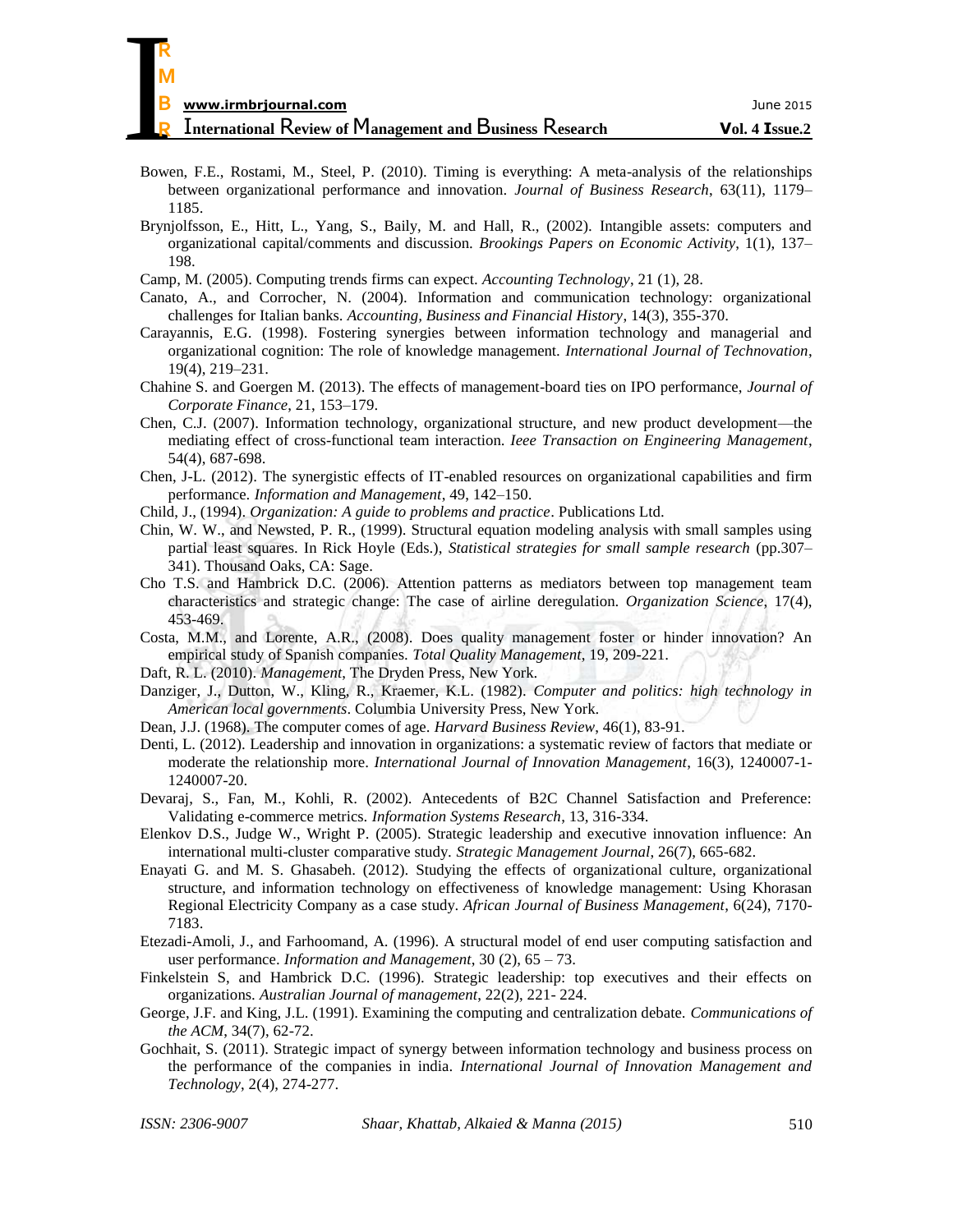| R                                                               |                |
|-----------------------------------------------------------------|----------------|
| M                                                               |                |
| B<br>www.irmbrjournal.com                                       | June 2015      |
| <b>International Review of Management and Business Research</b> | Vol. 4 Issue.2 |

- Bowen, F.E., Rostami, M., Steel, P. (2010). Timing is everything: A meta-analysis of the relationships between organizational performance and innovation. *Journal of Business Research*, 63(11), 1179– 1185.
- Brynjolfsson, E., Hitt, L., Yang, S., Baily, M. and Hall, R., (2002). Intangible assets: computers and organizational capital/comments and discussion. *Brookings Papers on Economic Activity*, 1(1), 137– 198.
- Camp, M. (2005). Computing trends firms can expect. *Accounting Technology*, 21 (1), 28.
- Canato, A., and Corrocher, N. (2004). Information and communication technology: organizational challenges for Italian banks. *Accounting, Business and Financial History*, 14(3), 355-370.
- Carayannis, E.G. (1998). Fostering synergies between information technology and managerial and organizational cognition: The role of knowledge management. *International Journal of Technovation*, 19(4), 219–231.
- Chahine S. and Goergen M. (2013). The effects of management-board ties on IPO performance, *Journal of Corporate Finance*, 21, 153–179.
- Chen, C.J. (2007). Information technology, organizational structure, and new product development—the mediating effect of cross-functional team interaction. *Ieee Transaction on Engineering Management*, 54(4), 687-698.
- Chen, J-L. (2012). The synergistic effects of IT-enabled resources on organizational capabilities and firm performance. *Information and Management*, 49, 142–150.
- Child, J., (1994). *Organization: A guide to problems and practice*. Publications Ltd.
- Chin, W. W., and Newsted, P. R., (1999). Structural equation modeling analysis with small samples using partial least squares. In Rick Hoyle (Eds.), *Statistical strategies for small sample research* (pp.307– 341). Thousand Oaks, CA: Sage.
- Cho T.S. and Hambrick D.C. (2006). Attention patterns as mediators between top management team characteristics and strategic change: The case of airline deregulation. *Organization Science*, 17(4), 453-469.
- Costa, M.M., and Lorente, A.R., (2008). Does quality management foster or hinder innovation? An empirical study of Spanish companies. *Total Quality Management*, 19, 209-221.
- Daft, R. L. (2010). *Management*, The Dryden Press, New York.
- Danziger, J., Dutton, W., Kling, R., Kraemer, K.L. (1982). *Computer and politics: high technology in American local governments*. Columbia University Press, New York.
- Dean, J.J. (1968). The computer comes of age. *Harvard Business Review*, 46(1), 83-91.
- [Denti,](http://gu-se.academia.edu/LeifDenti) L. (2012). [Leadership and innovation in organizations: a systematic review of factors that mediate or](http://www.academia.edu/2102046/Leadership_And_Innovation_In_Organizations_A_Systematic_Review_Of_Factors_That_Mediate_Or_Moderate_The_Relationship)  [moderate the relationship](http://www.academia.edu/2102046/Leadership_And_Innovation_In_Organizations_A_Systematic_Review_Of_Factors_That_Mediate_Or_Moderate_The_Relationship) [more.](http://www.academia.edu/2102046/Leadership_And_Innovation_In_Organizations_A_Systematic_Review_Of_Factors_That_Mediate_Or_Moderate_The_Relationship) *International Journal of Innovation Management*, 16(3), 1240007-1- 1240007-20.
- Devaraj, S., Fan, M., Kohli, R. (2002). Antecedents of B2C Channel Satisfaction and Preference: Validating e-commerce metrics. *Information Systems Research*, 13, 316-334.
- Elenkov D.S., Judge W., Wright P. (2005). Strategic leadership and executive innovation influence: An international multi-cluster comparative study. *Strategic Management Journal*, 26(7), 665-682.
- Enayati G. and M. S. Ghasabeh. (2012). Studying the effects of organizational culture, organizational structure, and information technology on effectiveness of knowledge management: Using Khorasan Regional Electricity Company as a case study. *African Journal of Business Management*, 6(24), 7170- 7183.
- Etezadi-Amoli, J., and Farhoomand, A. (1996). A structural model of end user computing satisfaction and user performance. *Information and Management*, 30 (2), 65 – 73.
- Finkelstein S, and Hambrick D.C. (1996). Strategic leadership: top executives and their effects on organizations. *Australian Journal of management*, 22(2), 221- 224.
- George, J.F. and King, J.L. (1991). Examining the computing and centralization debate. *Communications of the ACM*, 34(7), 62-72.
- Gochhait, S. (2011). Strategic impact of synergy between information technology and business process on the performance of the companies in india. *International Journal of Innovation Management and Technology*, 2(4), 274-277.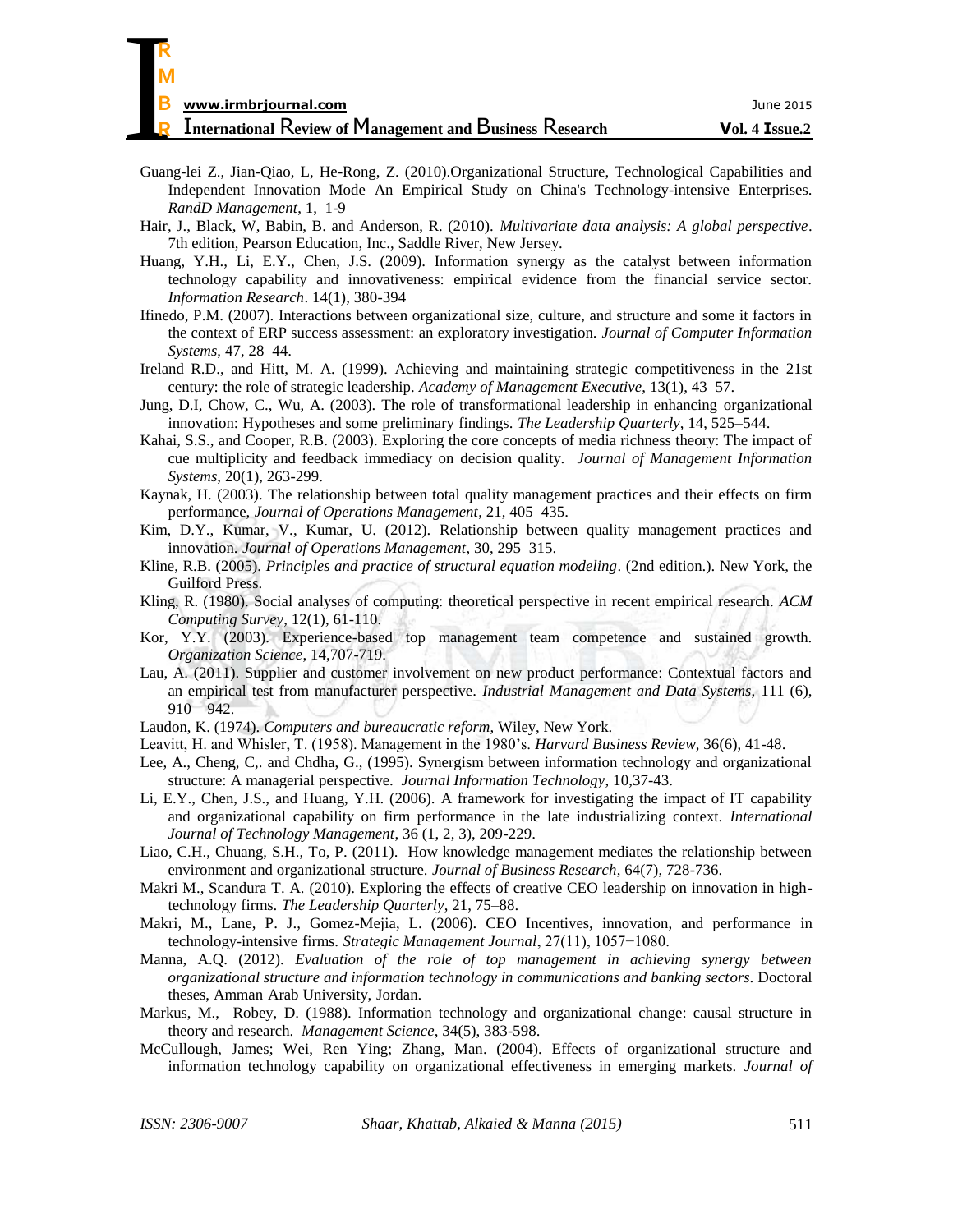| R                                                               |                |
|-----------------------------------------------------------------|----------------|
| M                                                               |                |
| B<br>www.irmbrjournal.com                                       | June 2015      |
| <b>International Review of Management and Business Research</b> | Vol. 4 Issue.2 |

- Guang-lei Z., Jian-Qiao, L, He-Rong, Z. (2010).Organizational Structure, Technological Capabilities and Independent Innovation Mode An Empirical Study on China's Technology-intensive Enterprises. *RandD Management*, 1, 1-9
- Hair, J., Black, W, Babin, B. and Anderson, R. (2010). *Multivariate data analysis: A global perspective*. 7th edition, Pearson Education, Inc., Saddle River, New Jersey.
- Huang, Y.H., Li, E.Y., Chen, J.S. (2009). Information synergy as the catalyst between information technology capability and innovativeness: empirical evidence from the financial service sector. *Information Research*. 14(1), 380-394
- Ifinedo, P.M. (2007). Interactions between organizational size, culture, and structure and some it factors in the context of ERP success assessment: an exploratory investigation. *Journal of Computer Information Systems*, 47, 28–44.
- Ireland R.D., and Hitt, M. A. (1999). Achieving and maintaining strategic competitiveness in the 21st century: the role of strategic leadership. *Academy of Management Executive*, 13(1), 43–57.
- Jung, D.I, Chow, C., Wu, A. (2003). The role of transformational leadership in enhancing organizational innovation: Hypotheses and some preliminary findings. *The Leadership Quarterly*, 14, 525–544.
- Kahai, S.S., and Cooper, R.B. (2003). Exploring the core concepts of media richness theory: The impact of cue multiplicity and feedback immediacy on decision quality. *Journal of Management Information Systems*, 20(1), 263-299.
- Kaynak, H. (2003). The relationship between total quality management practices and their effects on firm performance, *Journal of Operations Management*, 21, 405–435.
- Kim, D.Y., Kumar, V., Kumar, U. (2012). Relationship between quality management practices and innovation. *Journal of Operations Management*, 30, 295–315.
- Kline, R.B. (2005). *Principles and practice of structural equation modeling*. (2nd edition.). New York, the Guilford Press.
- Kling, R. (1980). Social analyses of computing: theoretical perspective in recent empirical research. *ACM Computing Survey*, 12(1), 61-110.
- Kor, Y.Y. (2003). Experience-based top management team competence and sustained growth. *Organization Science*, 14,707-719.
- Lau, A. (2011). Supplier and customer involvement on new product performance: Contextual factors and an empirical test from manufacturer perspective. *Industrial Management and Data Systems*, 111 (6),  $910 - 942.$
- Laudon, K. (1974). *Computers and bureaucratic reform*, Wiley, New York.
- Leavitt, H. and Whisler, T. (1958). Management in the 1980's. *Harvard Business Review*, 36(6), 41-48.
- Lee, A., Cheng, C,. and Chdha, G., (1995). Synergism between information technology and organizational structure: A managerial perspective. *Journal Information Technology*, 10,37-43.
- Li, E.Y., Chen, J.S., and Huang, Y.H. (2006). A framework for investigating the impact of IT capability and organizational capability on firm performance in the late industrializing context. *International Journal of Technology Management*, 36 (1, 2, 3), 209-229.
- Liao, C.H., Chuang, S.H., To, P. (2011). How knowledge management mediates the relationship between environment and organizational structure. *Journal of Business Research*, 64(7), 728-736.
- Makri M., Scandura T. A. (2010). Exploring the effects of creative CEO leadership on innovation in hightechnology firms. *The Leadership Quarterly*, 21, 75–88.
- Makri, M., Lane, P. J., Gomez-Mejia, L. (2006). CEO Incentives, innovation, and performance in technology-intensive firms. *Strategic Management Journal*, 27(11), 1057−1080.
- Manna, A.Q. (2012). *Evaluation of the role of top management in achieving synergy between organizational structure and information technology in communications and banking sectors*. Doctoral theses, Amman Arab University, Jordan.
- Markus, M., Robey, D. (1988). Information technology and organizational change: causal structure in theory and research. *Management Science*, 34(5), 383-598.
- McCullough, James; Wei, Ren Ying; Zhang, Man. (2004). Effects of organizational structure and information technology capability on organizational effectiveness in emerging markets. *Journal of*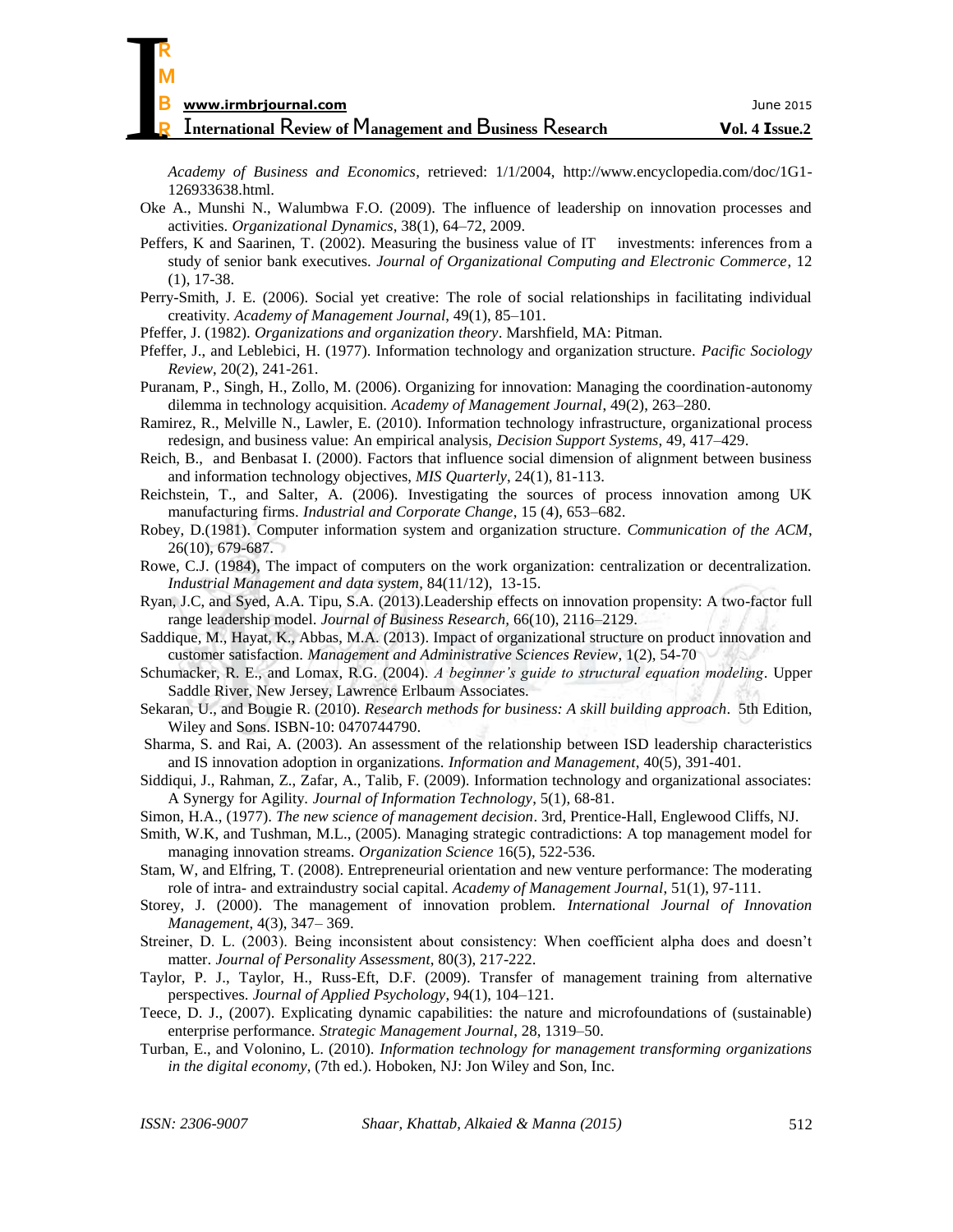*Academy of Business and Economics*, retrieved: 1/1/2004, http://www.encyclopedia.com/doc/1G1- 126933638.html.

- Oke A., Munshi N., Walumbwa F.O. (2009). The influence of leadership on innovation processes and activities. *Organizational Dynamics*, 38(1), 64–72, 2009.
- Peffers, K and Saarinen, T. (2002). Measuring the business value of IT investments: inferences from a study of senior bank executives. *Journal of Organizational Computing and Electronic Commerce*, 12 (1), 17-38.
- Perry-Smith, J. E. (2006). Social yet creative: The role of social relationships in facilitating individual creativity. *Academy of Management Journal*, 49(1), 85–101.
- Pfeffer, J. (1982). *Organizations and organization theory*. Marshfield, MA: Pitman.
- Pfeffer, J., and Leblebici, H. (1977). Information technology and organization structure. *Pacific Sociology Review*, 20(2), 241-261.
- Puranam, P., Singh, H., Zollo, M. (2006). Organizing for innovation: Managing the coordination-autonomy dilemma in technology acquisition. *Academy of Management Journal*, 49(2), 263–280.
- Ramirez, R., Melville N., Lawler, E. (2010). Information technology infrastructure, organizational process redesign, and business value: An empirical analysis, *Decision Support Systems*, 49, 417–429.
- Reich, B., and Benbasat I. (2000). Factors that influence social dimension of alignment between business and information technology objectives, *MIS Quarterly*, 24(1), 81-113.
- Reichstein, T., and Salter, A. (2006). Investigating the sources of process innovation among UK manufacturing firms. *Industrial and Corporate Change*, 15 (4), 653–682.
- Robey, D.(1981). Computer information system and organization structure. *Communication of the ACM*, 26(10), 679-687.
- Rowe, C.J. (1984), The impact of computers on the work organization: centralization or decentralization. *Industrial Management and data system*, 84(11/12), 13-15.
- Ryan, J.C, and Syed, A.A. Tipu, S.A. (2013).Leadership effects on innovation propensity: A two-factor full range leadership model. *Journal of Business Research,* 66(10), 2116–2129.
- Saddique, M., Hayat, K., Abbas, M.A. (2013). Impact of organizational structure on product innovation and customer satisfaction. *Management and Administrative Sciences Review*, 1(2), 54-70
- Schumacker, R. E., and Lomax, R.G. (2004). *A beginner's guide to structural equation modeling*. Upper Saddle River, New Jersey, Lawrence Erlbaum Associates.
- Sekaran, U., and Bougie R. (2010). *Research methods for business: A skill building approach*. 5th Edition, Wiley and Sons. ISBN-10: 0470744790.
- [Sharma,](http://www.sciencedirect.com/science/article/pii/S0378720602000496) S. and Rai, A. (2003). An assessment of the relationship between ISD leadership characteristics and IS innovation adoption in organizations. *[Information and Management](http://www.sciencedirect.com/science/journal/03787206)*, 40(5), 391-401.
- Siddiqui, J., Rahman, Z., Zafar, A., Talib, F. (2009). Information technology and organizational associates: A Synergy for Agility. *Journal of Information Technology*, 5(1), 68-81.
- Simon, H.A., (1977). *The new science of management decision*. 3rd, Prentice-Hall, Englewood Cliffs, NJ.
- Smith, W.K, and Tushman, M.L., (2005). Managing strategic contradictions: A top management model for managing innovation streams. *Organization Science* 16(5), 522-536.
- Stam, W, and Elfring, T. (2008). Entrepreneurial orientation and new venture performance: The moderating role of intra- and extraindustry social capital. *Academy of Management Journal*, 51(1), 97-111.
- Storey, J. (2000). The management of innovation problem. *International Journal of Innovation Management*, 4(3), 347– 369.
- Streiner, D. L. (2003). Being inconsistent about consistency: When coefficient alpha does and doesn't matter. *Journal of Personality Assessment*, 80(3), 217-222.
- Taylor, P. J., Taylor, H., Russ-Eft, D.F. (2009). Transfer of management training from alternative perspectives. *Journal of Applied Psychology*, 94(1), 104–121.
- Teece, D. J., (2007). Explicating dynamic capabilities: the nature and microfoundations of (sustainable) enterprise performance. *Strategic Management Journal*, 28, 1319–50.
- Turban, E., and Volonino, L. (2010). *Information technology for management transforming organizations in the digital economy*, (7th ed.). Hoboken, NJ: Jon Wiley and Son, Inc.